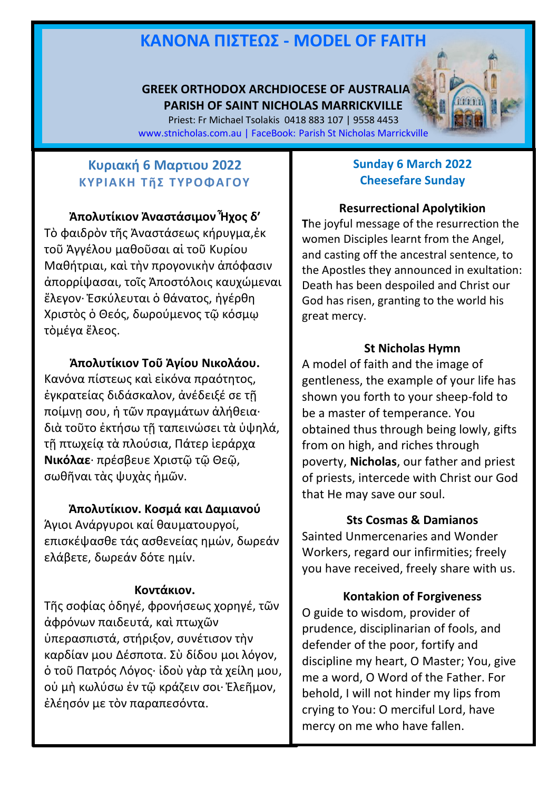# **ΚΑΝOΝΑ ΠIΣΤΕΩΣ - MODEL OF FAITH**

### **GREEK ORTHODOX ARCHDIOCESE OF AUSTRALIA PARISH OF SAINT NICHOLAS MARRICKVILLE**

Priest: Fr Michael Tsolakis 0418 883 107 | 9558 4453 [www.stnicholas.com.au](http://www.stnicholas.com.au/) | FaceBook: Parish St Nicholas Marrickville

## **Κυριακή 6 Μαρτιου 2022 ΚΥΡΙΑΚΗ ΤῆΣ ΤΥΡΟΦ ΑΓΟΥ**

**Ἀπολυτίκιον Ἀναστάσιμον Ἦχος δʹ** Τὸ φαιδρὸν τῆς Ἀναστάσεως κήρυγμα,ἐκ τοῦ Ἀγγέλου μαθοῦσαι αἱ τοῦ Κυρίου Μαθήτριαι, καὶ τὴν προγονικὴν ἀπόφασιν ἀπορρίψασαι, τοῖς Ἀποστόλοις καυχώμεναι ἔλεγον· Ἐσκύλευται ὁ θάνατος, ἠγέρθη Χριστὸς ὁ Θεός, δωρούμενος τῷ κόσμῳ τὸμέγα ἔλεος.

**Ἀπολυτίκιον Τοῦ Ἁγίου Νικολάου.** Κανόνα πίστεως καὶ εἰκόνα πραότητος, ἐγκρατείας διδάσκαλον, ἀνέδειξέ σε τῇ ποίμνῃ σου, ἡ τῶν πραγμάτων ἀλήθεια· διὰ τοῦτο ἐκτήσω τῇ ταπεινώσει τὰ ὑψηλά, τῇ πτωχείᾳ τὰ πλούσια, Πάτερ ἱεράρχα **Νικόλαε**· πρέσβευε Χριστῷ τῷ Θεῷ, σωθῆναι τὰς ψυχὰς ἡμῶν.

#### **Ἀπολυτίκιον. Κοσμά και Δαμιανού**

Άγιοι Ανάργυροι καί θαυματουργοί, επισκέψασθε τάς ασθενείας ημών, δωρεάν ελάβετε, δωρεάν δότε ημίν.

#### **Κοντάκιον.**

Τῆς σοφίας ὁδηγέ, φρονήσεως χορηγέ, τῶν ἀφρόνων παιδευτά, καὶ πτωχῶν ὑπερασπιστά, στήριξον, συνέτισον τὴν καρδίαν μου Δέσποτα. Σὺ δίδου μοι λόγον, ὁ τοῦ Πατρός Λόγος· ἰδοὺ γὰρ τὰ χείλη μου, οὐ μὴ κωλύσω ἐν τῷ κράζειν σοι· Ἐλεῆμον, ἐλέησόν με τὸν παραπεσόντα.

### **Sunday 6 March 2022 Cheesefare Sunday**

#### **Resurrectional Apolytikion**

**T**he joyful message of the resurrection the women Disciples learnt from the Angel, and casting off the ancestral sentence, to the Apostles they announced in exultation: Death has been despoiled and Christ our God has risen, granting to the world his great mercy.

#### **St Nicholas Hymn**

A model of faith and the image of gentleness, the example of your life has shown you forth to your sheep-fold to be a master of temperance. You obtained thus through being lowly, gifts from on high, and riches through poverty, **Nicholas**, our father and priest of priests, intercede with Christ our God that He may save our soul.

#### **Sts Cosmas & Damianos**

Sainted Unmercenaries and Wonder Workers, regard our infirmities; freely you have received, freely share with us.

#### **Kontakion of Forgiveness**

O guide to wisdom, provider of prudence, disciplinarian of fools, and defender of the poor, fortify and discipline my heart, O Master; You, give me a word, O Word of the Father. For behold, I will not hinder my lips from crying to You: O merciful Lord, have mercy on me who have fallen.

1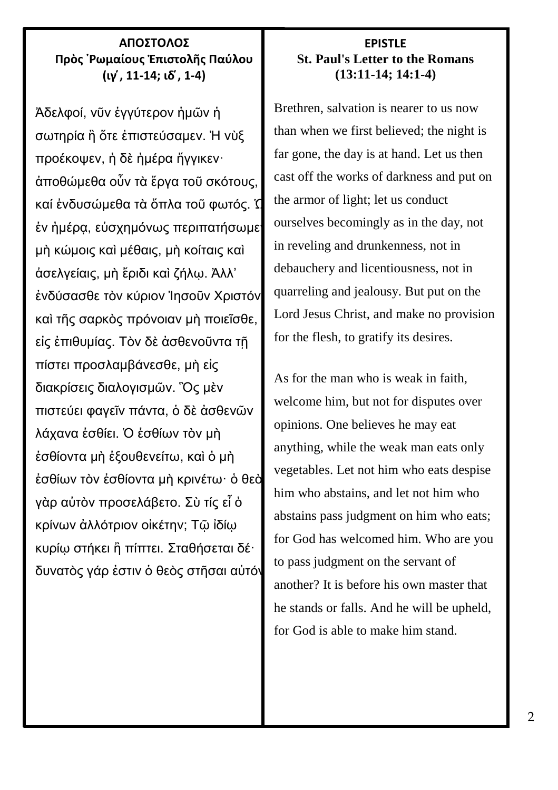### **ΑΠΟΣΤΟΛΟΣ Πρὸς ῾Ρωμαίους Ἐπιστολῆς Παύλου (ιγ ́, 11-14; ιδ ́, 1-4)**

Ἀδελφοί, νῦν ἐγγύτερον ἡμῶν ἡ σωτηρία ἢ ὅτε ἐπιστεύσαμεν. Ἡ νὺξ προέκοψεν, ἡ δὲ ἡμέρα ἤγγικεν· ἀποθώμεθα οὖν τὰ ἔργα τοῦ σκότους, καί ἐνδυσώμεθα τὰ ὅπλα τοῦ φωτός. Ἱ έν ἡμέρα, εὐσχημόνως περιπατήσωμε<sup>ι</sup> μὴ κώμοις καὶ μέθαις, μὴ κοίταις καὶ ἀσελγείαις, μὴ ἔριδι καὶ ζήλῳ. Ἀλλ' ένδύσασθε τὸν κύριον Ἰησοῦν Χριστόν καὶ τῆς σαρκὸς πρόνοιαν μὴ ποιεῖσθε, εἰς ἐπιθυμίας. Τὸν δὲ ἀσθενοῦντα τῇ πίστει προσλαμβάνεσθε, μὴ εἰς διακρίσεις διαλογισμῶν. Ὃς μὲν πιστεύει φαγεῖν πάντα, ὁ δὲ ἀσθενῶν λάχανα ἐσθίει. Ὁ ἐσθίων τὸν μὴ ἐσθίοντα μὴ ἐξουθενείτω, καὶ ὁ μὴ ἐσθίων τὸν ἐσθίοντα μὴ κρινέτω· ὁ θεὸ γὰρ αὐτὸν προσελάβετο. Σὺ τίς εἶ ὁ κρίνων ἀλλότριον οἰκέτην; Τῶ ἰδίω κυρίῳ στήκει ἢ πίπτει. Σταθήσεται δέ· δυνατὸς γάρ ἐστιν ὁ θεὸς στῆσαι αὐτόν.

### **EPISTLE St. Paul's Letter to the Romans (13:11-14; 14:1-4)**

Brethren, salvation is nearer to us now than when we first believed; the night is far gone, the day is at hand. Let us then cast off the works of darkness and put on the armor of light; let us conduct ourselves becomingly as in the day, not in reveling and drunkenness, not in debauchery and licentiousness, not in quarreling and jealousy. But put on the Lord Jesus Christ, and make no provision for the flesh, to gratify its desires.

As for the man who is weak in faith, welcome him, but not for disputes over opinions. One believes he may eat anything, while the weak man eats only vegetables. Let not him who eats despise him who abstains, and let not him who abstains pass judgment on him who eats; for God has welcomed him. Who are you to pass judgment on the servant of another? It is before his own master that he stands or falls. And he will be upheld, for God is able to make him stand.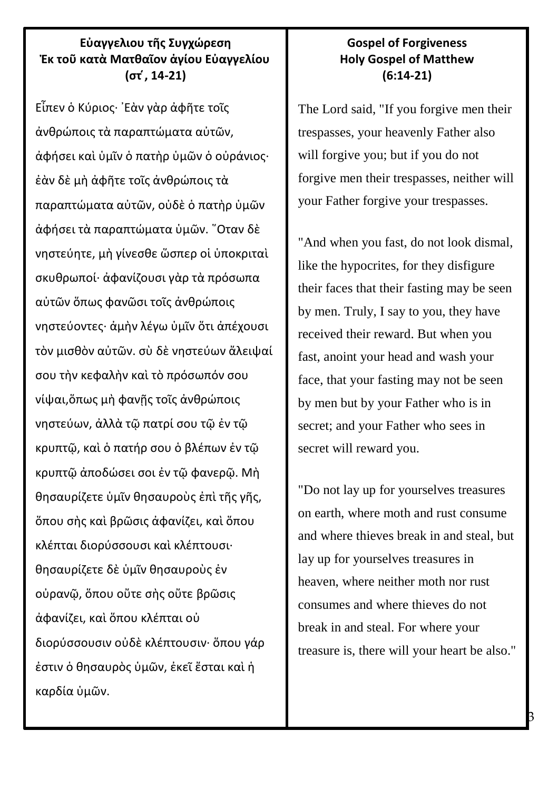### **Εὐαγγελιου τῆς Συγχώρεση Ἐκ τοῦ κατὰ Ματθαῖον ἁγίου Εὐαγγελίου (στ ́, 14-21)**

Εἶπεν ὁ Κύριος· ᾿Εὰν γὰρ ἀφῆτε τοῖς ἀνθρώποις τὰ παραπτώματα αὐτῶν, ἀφήσει καὶ ὑμῖν ὁ πατὴρ ὑμῶν ὁ οὐράνιος· ἐὰν δὲ μὴ ἀφῆτε τοῖς ἀνθρώποις τὰ παραπτώματα αὐτῶν, οὐδὲ ὁ πατὴρ ὑμῶν ἀφήσει τὰ παραπτώματα ὑμῶν. ῞Οταν δὲ νηστεύητε, μὴ γίνεσθε ὥσπερ οἱ ὑποκριταὶ σκυθρωποί· ἀφανίζουσι γὰρ τὰ πρόσωπα αὐτῶν ὅπως φανῶσι τοῖς ἀνθρώποις νηστεύοντες· ἀμὴν λέγω ὑμῖν ὅτι ἀπέχουσι τὸν μισθὸν αὐτῶν. σὺ δὲ νηστεύων ἄλειψαί σου τὴν κεφαλὴν καὶ τὸ πρόσωπόν σου νίψαι,ὅπως μὴ φανῇς τοῖς ἀνθρώποις νηστεύων, ἀλλὰ τῷ πατρί σου τῷ ἐν τῷ κρυπτῷ, καὶ ὁ πατήρ σου ὁ βλέπων ἐν τῷ κρυπτῷ ἀποδώσει σοι ἐν τῷ φανερῷ. Μὴ θησαυρίζετε ὑμῖν θησαυροὺς ἐπὶ τῆς γῆς, ὅπου σὴς καὶ βρῶσις ἀφανίζει, καὶ ὅπου κλέπται διορύσσουσι καὶ κλέπτουσι· θησαυρίζετε δὲ ὑμῖν θησαυροὺς ἐν οὐρανῷ, ὅπου οὔτε σὴς οὔτε βρῶσις ἀφανίζει, καὶ ὅπου κλέπται οὐ διορύσσουσιν οὐδὲ κλέπτουσιν· ὅπου γάρ ἐστιν ὁ θησαυρὸς ὑμῶν, ἐκεῖ ἔσται καὶ ἡ καρδία ὑμῶν.

## **Gospel of Forgiveness Holy Gospel of Matthew (6:14-21)**

The Lord said, "If you forgive men their trespasses, your heavenly Father also will forgive you; but if you do not forgive men their trespasses, neither will your Father forgive your trespasses.

"And when you fast, do not look dismal, like the hypocrites, for they disfigure their faces that their fasting may be seen by men. Truly, I say to you, they have received their reward. But when you fast, anoint your head and wash your face, that your fasting may not be seen by men but by your Father who is in secret; and your Father who sees in secret will reward you.

"Do not lay up for yourselves treasures on earth, where moth and rust consume and where thieves break in and steal, but lay up for yourselves treasures in heaven, where neither moth nor rust consumes and where thieves do not break in and steal. For where your treasure is, there will your heart be also."